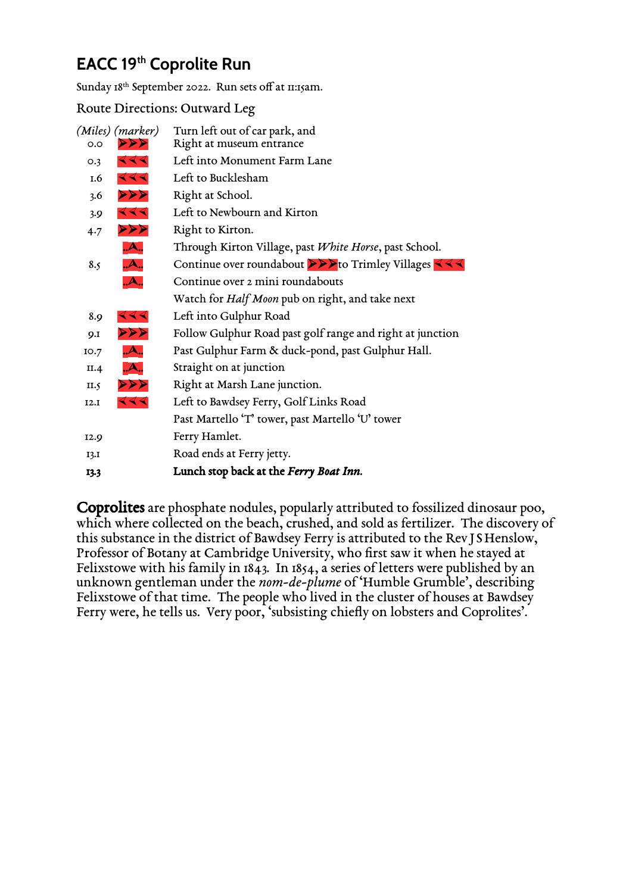## **EACC 19 th Coprolite Run**

Sunday 18<sup>th</sup> September 2022. Run sets off at 11:15am.

Route Directions: Outward Leg

| O.O        | (Miles) (marker)<br>४४४ | Turn left out of car park, and<br>Right at museum entrance |
|------------|-------------------------|------------------------------------------------------------|
| O.3        | 444                     | Left into Monument Farm Lane                               |
| 1.6        | 444                     | Left to Bucklesham                                         |
| 3.6        | $\triangleleft$         | Right at School.                                           |
| 3.9        | 444                     | Left to Newbourn and Kirton                                |
| 4.7        | ४४४                     | Right to Kirton.                                           |
|            | A                       | Through Kirton Village, past White Horse, past School.     |
| 8.5        | A                       | Continue over roundabout >>>to Trimley Villages <<<        |
|            | A                       | Continue over 2 mini roundabouts                           |
|            |                         | Watch for <i>Half Moon</i> pub on right, and take next     |
| 8.9        | 444                     | Left into Gulphur Road                                     |
| <b>9.I</b> | ४४४                     | Follow Gulphur Road past golf range and right at junction  |
| IO.7       | A                       | Past Gulphur Farm & duck-pond, past Gulphur Hall.          |
| II.4       | A                       | Straight on at junction                                    |
| II.5       | २२२                     | Right at Marsh Lane junction.                              |
| I2.I       | 444                     | Left to Bawdsey Ferry, Golf Links Road                     |
|            |                         | Past Martello 'T' tower, past Martello 'U' tower           |
| I2.9       |                         | Ferry Hamlet.                                              |
| I3.I       |                         | Road ends at Ferry jetty.                                  |
| 13.3       |                         | Lunch stop back at the Ferry Boat Inn.                     |

Coprolites are phosphate nodules, popularly attributed to fossilized dinosaur poo, which where collected on the beach, crushed, and sold as fertilizer. The discovery of this substance in the district of Bawdsey Ferry is attributed to the Rev JS Henslow, Professor of Botany at Cambridge University, who first saw it when he stayed at Felixstowe with his family in 1843. In 1854, a series of letters were published by an unknown gentleman under the *nom-de-plume* of 'Humble Grumble', describing Felixstowe of that time. The people who lived in the cluster of houses at Bawdsey Ferry were, he tells us. Very poor, 'subsisting chiefly on lobsters and Coprolites'.